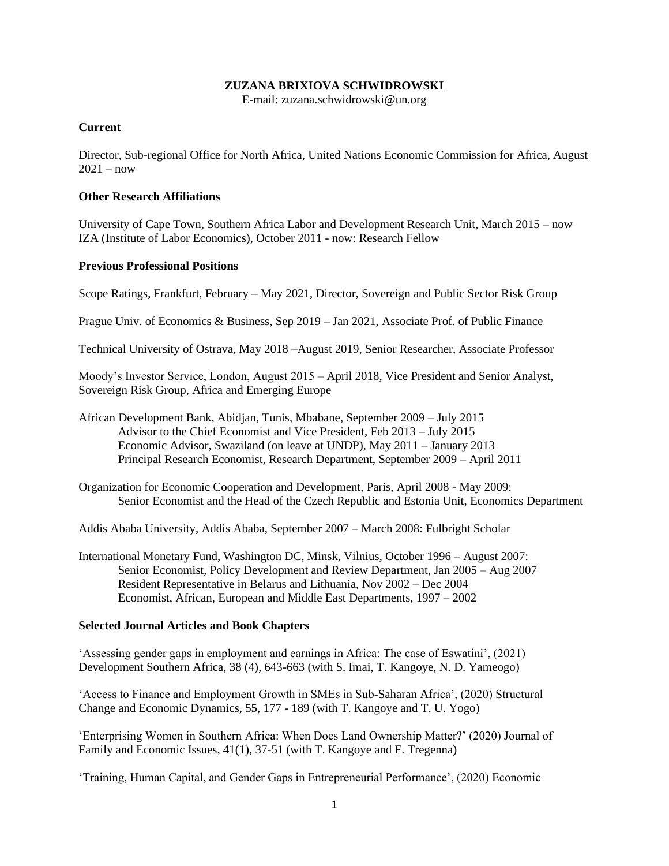## **ZUZANA BRIXIOVA SCHWIDROWSKI**

E-mail: zuzana.schwidrowski@un.org

### **Current**

Director, Sub-regional Office for North Africa, United Nations Economic Commission for Africa, August  $2021 - now$ 

#### **Other Research Affiliations**

University of Cape Town, Southern Africa Labor and Development Research Unit, March 2015 – now IZA (Institute of Labor Economics), October 2011 - now: Research Fellow

## **Previous Professional Positions**

Scope Ratings, Frankfurt, February – May 2021, Director, Sovereign and Public Sector Risk Group

Prague Univ. of Economics & Business, Sep 2019 – Jan 2021, Associate Prof. of Public Finance

Technical University of Ostrava, May 2018 –August 2019, Senior Researcher, Associate Professor

Moody's Investor Service, London, August 2015 – April 2018, Vice President and Senior Analyst, Sovereign Risk Group, Africa and Emerging Europe

African Development Bank, Abidjan, Tunis, Mbabane, September 2009 – July 2015 Advisor to the Chief Economist and Vice President, Feb 2013 – July 2015 Economic Advisor, Swaziland (on leave at UNDP), May 2011 – January 2013 Principal Research Economist, Research Department, September 2009 – April 2011

Organization for Economic Cooperation and Development, Paris, April 2008 - May 2009: Senior Economist and the Head of the Czech Republic and Estonia Unit, Economics Department

Addis Ababa University, Addis Ababa, September 2007 – March 2008: Fulbright Scholar

International Monetary Fund, Washington DC, Minsk, Vilnius, October 1996 – August 2007: Senior Economist, Policy Development and Review Department, Jan 2005 – Aug 2007 Resident Representative in Belarus and Lithuania, Nov 2002 – Dec 2004 Economist, African, European and Middle East Departments, 1997 – 2002

# **Selected Journal Articles and Book Chapters**

'Assessing gender gaps in employment and earnings in Africa: The case of Eswatini', (2021) Development Southern Africa, 38 (4), 643-663 (with S. Imai, T. Kangoye, N. D. Yameogo)

'Access to Finance and Employment Growth in SMEs in Sub-Saharan Africa', (2020) Structural Change and Economic Dynamics, 55, 177 - 189 (with T. Kangoye and T. U. Yogo)

'Enterprising Women in Southern Africa: When Does Land Ownership Matter?' (2020) Journal of Family and Economic Issues, 41(1), 37-51 (with T. Kangoye and F. Tregenna)

'Training, Human Capital, and Gender Gaps in Entrepreneurial Performance', (2020) Economic